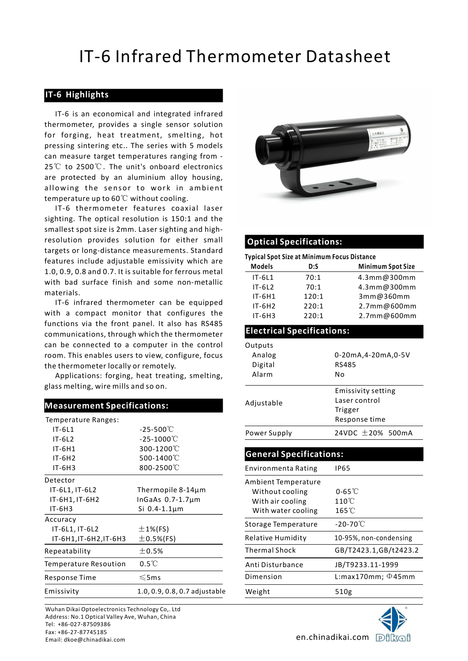## IT-6 Infrared Thermometer Datasheet

### IT-6 Highlights

IT-6 Infrared Thermometer Da<br> **IT-6 is an economical and integrated infrared**<br>
IT-6 is an economical and integrated infrared<br>
Irmometer, provides a single sensor solution<br>
forging, heat treatment, smelting, hot<br>
Is measure thermometer, provides a single sensor solution for forging, heat treatment, smelting, hot pressing sintering etc.. The series with 5 models can measure target temperatures ranging from - **17 - 6 Infrared Thermometer Datasher**<br> **17-6 Eigalights**<br>
17-6 is an economical and integrated infrared<br>
thermometer, provides a single sensor solution<br>
for forging, heat treatment, smelting, hot<br>
pressing sintering etc. are protected by an aluminium alloy housing, IT-6 Infrared Thermometer Datashee<br>
T-6 is an economical and integrated infrared<br>
T-6 is an economical and integrated infrared<br>
thermometer, provides a single sensor solution<br>
for forging, heat treatment, smelting, hot<br>
ca 25℃ to 2500℃. The unit's onboard electronics temperature up to 60℃ without cooling.

### Measurement Specifications:

| Temperature Ranges:                                      |                                                                          |                                                                                  | Response time                                        |  |  |
|----------------------------------------------------------|--------------------------------------------------------------------------|----------------------------------------------------------------------------------|------------------------------------------------------|--|--|
| $IT-6L1$<br>$IT-6L2$                                     | $-25 - 500^{\circ}$ C<br>$-25 - 1000^{\circ}$ C                          | Power Supply                                                                     | 24VDC $\pm$ 20% 500r                                 |  |  |
| $IT-6H1$<br>$IT-6H2$                                     | 300-1200°C<br>500-1400℃                                                  | <b>General Specifications:</b>                                                   |                                                      |  |  |
| $IT-6H3$                                                 | 800-2500°C                                                               | Environmenta Rating                                                              | <b>IP65</b>                                          |  |  |
| Detector<br>IT-6L1, IT-6L2<br>IT-6H1, IT-6H2<br>$IT-6H3$ | Thermopile $8-14\mu m$<br>InGaAs $0.7-1.7 \mu m$<br>Si $0.4 - 1.1 \mu m$ | Ambient Temperature<br>Without cooling<br>With air cooling<br>With water cooling | $0-65^{\circ}$<br>$110^{\circ}$ C<br>$165^{\circ}$ C |  |  |
| Accuracy<br>IT-6L1, IT-6L2                               | $±1%$ (FS)                                                               | Storage Temperature                                                              | $-20-70^{\circ}$ C                                   |  |  |
| IT-6H1, IT-6H2, IT-6H3                                   | $\pm$ 0.5%(FS)                                                           | Relative Humidity                                                                | 10-95%, non-condensi                                 |  |  |
| Repeatability                                            | $\pm$ 0.5%                                                               | <b>Thermal Shock</b>                                                             | GB/T2423.1,GB/t24                                    |  |  |
| Temperature Resoution                                    | $0.5^{\circ}$                                                            | Anti Disturbance                                                                 | JB/T9233.11-1999                                     |  |  |
| Response Time                                            | $\leq$ 5ms                                                               | Dimension                                                                        | L:max170mm; $\Phi$ 45r                               |  |  |
| Emissivity                                               | 1.0, 0.9, 0.8, 0.7 adjustable                                            | Weight                                                                           | 510g                                                 |  |  |
|                                                          |                                                                          |                                                                                  |                                                      |  |  |

Wuhan Dikai Optoelectronics Technology Co,. Ltd Address: No.1 Optical Valley Ave, Wuhan, China Tel: +86-027-87509386 Fax: +86-27-87745185 -ax: +60-27-87745165<br>Email: dkoe@chinadikai.com en.chinadikai.com D自以G自



### Optical Specifications:

| thermometer, provides a single sensor solution<br>for forging, heat treatment, smelting, hot<br>pressing sintering etc The series with 5 models<br>can measure target temperatures ranging from -<br>25 <sup>°</sup> C to 2500 <sup>°</sup> C. The unit's onboard electronics<br>are protected by an aluminium alloy housing,<br>allowing the sensor to work in ambient<br>temperature up to 60 $\rm ^{\circ}\rm C$ without cooling.<br>sighting. The optical resolution is 150:1 and the<br>smallest spot size is 2mm. Laser sighting and high- | IT-6 is an economical and integrated infrared<br>IT-6 thermometer features coaxial laser |                                                    |              | 体膜造位                               |
|--------------------------------------------------------------------------------------------------------------------------------------------------------------------------------------------------------------------------------------------------------------------------------------------------------------------------------------------------------------------------------------------------------------------------------------------------------------------------------------------------------------------------------------------------|------------------------------------------------------------------------------------------|----------------------------------------------------|--------------|------------------------------------|
| resolution provides solution for either small<br>targets or long-distance measurements. Standard                                                                                                                                                                                                                                                                                                                                                                                                                                                 |                                                                                          | <b>Optical Specifications:</b>                     |              |                                    |
| features include adjustable emissivity which are                                                                                                                                                                                                                                                                                                                                                                                                                                                                                                 |                                                                                          | <b>Typical Spot Size at Minimum Focus Distance</b> |              |                                    |
| 1.0, 0.9, 0.8 and 0.7. It is suitable for ferrous metal                                                                                                                                                                                                                                                                                                                                                                                                                                                                                          |                                                                                          | <b>Models</b>                                      | D:S          | <b>Minimum Spot Size</b>           |
| with bad surface finish and some non-metallic                                                                                                                                                                                                                                                                                                                                                                                                                                                                                                    |                                                                                          | $IT-6L1$<br>$IT-6L2$                               | 70:1<br>70:1 | 4.3mm@300mm<br>4.3mm@300mm         |
| materials.                                                                                                                                                                                                                                                                                                                                                                                                                                                                                                                                       |                                                                                          | IT-6H1                                             | 120:1        | 3mm@360mm                          |
|                                                                                                                                                                                                                                                                                                                                                                                                                                                                                                                                                  | IT-6 infrared thermometer can be equipped                                                | $IT-6H2$                                           | 220:1        | 2.7mm@600mm                        |
| with a compact monitor that configures the                                                                                                                                                                                                                                                                                                                                                                                                                                                                                                       |                                                                                          | $IT-6H3$                                           | 220:1        | 2.7mm@600mm                        |
| functions via the front panel. It also has RS485                                                                                                                                                                                                                                                                                                                                                                                                                                                                                                 |                                                                                          | <b>Electrical Specifications:</b>                  |              |                                    |
| communications, through which the thermometer                                                                                                                                                                                                                                                                                                                                                                                                                                                                                                    |                                                                                          |                                                    |              |                                    |
| can be connected to a computer in the control                                                                                                                                                                                                                                                                                                                                                                                                                                                                                                    |                                                                                          | Outputs                                            |              |                                    |
| room. This enables users to view, configure, focus                                                                                                                                                                                                                                                                                                                                                                                                                                                                                               |                                                                                          | Analog<br>Digital                                  |              | 0-20mA,4-20mA,0-5V<br><b>RS485</b> |
| the thermometer locally or remotely.                                                                                                                                                                                                                                                                                                                                                                                                                                                                                                             | Applications: forging, heat treating, smelting,                                          | Alarm                                              | No           |                                    |
| glass melting, wire mills and so on.                                                                                                                                                                                                                                                                                                                                                                                                                                                                                                             |                                                                                          |                                                    |              |                                    |
|                                                                                                                                                                                                                                                                                                                                                                                                                                                                                                                                                  |                                                                                          |                                                    |              | <b>Emissivity setting</b>          |
| <b>Measurement Specifications:</b>                                                                                                                                                                                                                                                                                                                                                                                                                                                                                                               |                                                                                          | Adjustable                                         |              | Laser control                      |
| Temperature Ranges:                                                                                                                                                                                                                                                                                                                                                                                                                                                                                                                              |                                                                                          |                                                    |              | Trigger<br>Response time           |
| $IT-6L1$                                                                                                                                                                                                                                                                                                                                                                                                                                                                                                                                         | $-25 - 500^{\circ}$ C                                                                    |                                                    |              |                                    |
| $IT-6L2$                                                                                                                                                                                                                                                                                                                                                                                                                                                                                                                                         | $-25 - 1000^{\circ}$                                                                     | Power Supply                                       |              | 24VDC ±20% 500mA                   |
| IT-6H1                                                                                                                                                                                                                                                                                                                                                                                                                                                                                                                                           | 300-1200°C                                                                               |                                                    |              |                                    |
| $IT-6H2$                                                                                                                                                                                                                                                                                                                                                                                                                                                                                                                                         | 500-1400°C                                                                               | <b>General Specifications:</b>                     |              |                                    |
| IT-6H3                                                                                                                                                                                                                                                                                                                                                                                                                                                                                                                                           | 800-2500°C                                                                               | Environmenta Rating                                | <b>IP65</b>  |                                    |
| Detector                                                                                                                                                                                                                                                                                                                                                                                                                                                                                                                                         |                                                                                          | Ambient Temperature                                |              |                                    |
| IT-6L1, IT-6L2                                                                                                                                                                                                                                                                                                                                                                                                                                                                                                                                   | Thermopile $8-14\mu m$                                                                   | Without cooling                                    |              | $0-65^{\circ}$ C                   |
| IT-6H1, IT-6H2<br>IT-6H3                                                                                                                                                                                                                                                                                                                                                                                                                                                                                                                         | InGaAs $0.7-1.7 \mu m$<br>Si $0.4 - 1.1 \mu m$                                           | With air cooling                                   |              | $110^{\circ}$ C                    |
|                                                                                                                                                                                                                                                                                                                                                                                                                                                                                                                                                  |                                                                                          | With water cooling                                 |              | $165^{\circ}$ C                    |
| Accuracy<br>IT-6L1, IT-6L2<br>$±1%$ (FS)                                                                                                                                                                                                                                                                                                                                                                                                                                                                                                         |                                                                                          | Storage Temperature                                |              | $-20 - 70^{\circ}$ C               |
| IT-6H1, IT-6H2, IT-6H3                                                                                                                                                                                                                                                                                                                                                                                                                                                                                                                           | $\pm$ 0.5%(FS)                                                                           | <b>Relative Humidity</b>                           |              | 10-95%, non-condensing             |
| Repeatability                                                                                                                                                                                                                                                                                                                                                                                                                                                                                                                                    | ±0.5%                                                                                    | <b>Thermal Shock</b>                               |              | GB/T2423.1,GB/t2423.2              |
| Temperature Resoution                                                                                                                                                                                                                                                                                                                                                                                                                                                                                                                            | $0.5^{\circ}$                                                                            | Anti Disturbance                                   |              | JB/T9233.11-1999                   |
| Response Time                                                                                                                                                                                                                                                                                                                                                                                                                                                                                                                                    | $\leqslant$ 5ms                                                                          | Dimension                                          |              | L:max170mm; $\Phi$ 45mm            |
| Emissivity                                                                                                                                                                                                                                                                                                                                                                                                                                                                                                                                       | 1.0, 0.9, 0.8, 0.7 adjustable                                                            | Weight                                             |              | 510g                               |
| Wuhan Dikai Optoelectronics Technology Co,. Ltd                                                                                                                                                                                                                                                                                                                                                                                                                                                                                                  |                                                                                          |                                                    |              |                                    |
| Address: No.1 Optical Valley Ave, Wuhan, China                                                                                                                                                                                                                                                                                                                                                                                                                                                                                                   |                                                                                          |                                                    |              |                                    |